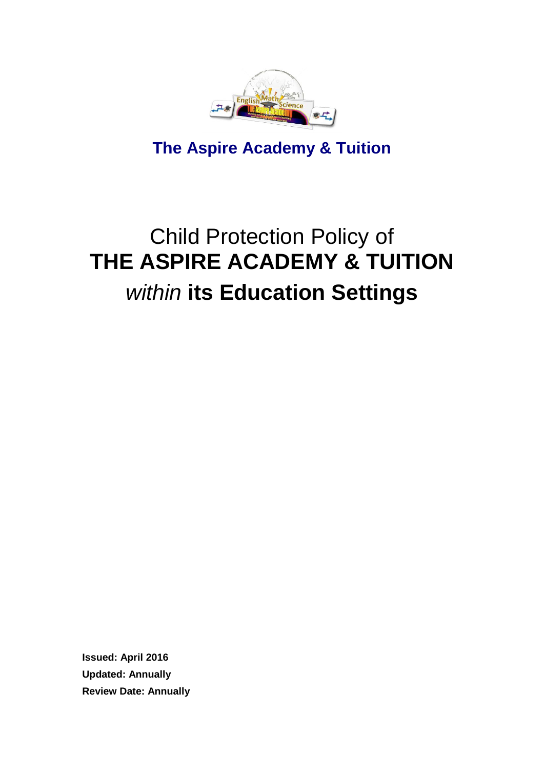

**The Aspire Academy & Tuition**

# Child Protection Policy of **THE ASPIRE ACADEMY & TUITION** *within* **its Education Settings**

**Issued: April 2016 Updated: Annually Review Date: Annually**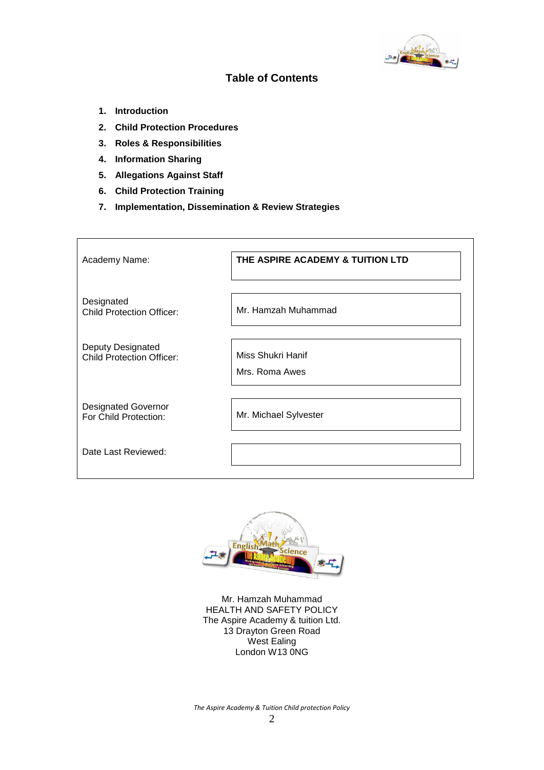

# **Table of Contents**

- **1. Introduction**
- **2. Child Protection Procedures**
- **3. Roles & Responsibilities**
- **4. Information Sharing**
- **5. Allegations Against Staff**
- **6. Child Protection Training**
- **7. Implementation, Dissemination & Review Strategies**

| Academy Name:                                         | THE ASPIRE ACADEMY & TUITION LTD    |
|-------------------------------------------------------|-------------------------------------|
| Designated<br><b>Child Protection Officer:</b>        | Mr. Hamzah Muhammad                 |
| Deputy Designated<br><b>Child Protection Officer:</b> | Miss Shukri Hanif<br>Mrs. Roma Awes |
| <b>Designated Governor</b><br>For Child Protection:   | Mr. Michael Sylvester               |
| Date Last Reviewed:                                   |                                     |



Mr. Hamzah Muhammad HEALTH AND SAFETY POLICY The Aspire Academy & tuition Ltd. 13 Drayton Green Road West Ealing London W13 ONG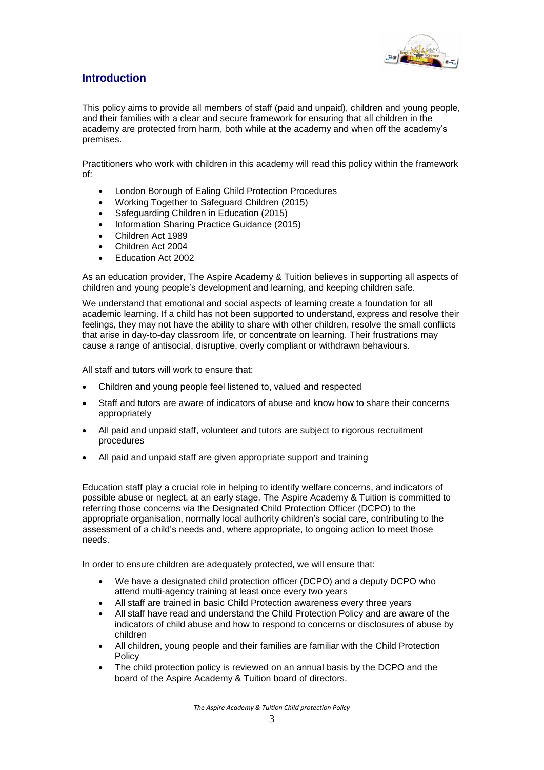

## **Introduction**

This policy aims to provide all members of staff (paid and unpaid), children and young people, and their families with a clear and secure framework for ensuring that all children in the academy are protected from harm, both while at the academy and when off the academy's premises.

Practitioners who work with children in this academy will read this policy within the framework of:

- London Borough of Ealing Child Protection Procedures
- Working Together to Safeguard Children (2015)
- Safeguarding Children in Education (2015)
- Information Sharing Practice Guidance (2015)
- Children Act 1989
- Children Act 2004
- Education Act 2002

As an education provider, The Aspire Academy & Tuition believes in supporting all aspects of children and young people's development and learning, and keeping children safe.

We understand that emotional and social aspects of learning create a foundation for all academic learning. If a child has not been supported to understand, express and resolve their feelings, they may not have the ability to share with other children, resolve the small conflicts that arise in day-to-day classroom life, or concentrate on learning. Their frustrations may cause a range of antisocial, disruptive, overly compliant or withdrawn behaviours.

All staff and tutors will work to ensure that:

- Children and young people feel listened to, valued and respected
- Staff and tutors are aware of indicators of abuse and know how to share their concerns appropriately
- All paid and unpaid staff, volunteer and tutors are subject to rigorous recruitment procedures
- All paid and unpaid staff are given appropriate support and training

Education staff play a crucial role in helping to identify welfare concerns, and indicators of possible abuse or neglect, at an early stage. The Aspire Academy & Tuition is committed to referring those concerns via the Designated Child Protection Officer (DCPO) to the appropriate organisation, normally local authority children's social care, contributing to the assessment of a child's needs and, where appropriate, to ongoing action to meet those needs.

In order to ensure children are adequately protected, we will ensure that:

- We have a designated child protection officer (DCPO) and a deputy DCPO who attend multi-agency training at least once every two years
- All staff are trained in basic Child Protection awareness every three years
- All staff have read and understand the Child Protection Policy and are aware of the indicators of child abuse and how to respond to concerns or disclosures of abuse by children
- All children, young people and their families are familiar with the Child Protection Policy
- The child protection policy is reviewed on an annual basis by the DCPO and the board of the Aspire Academy & Tuition board of directors.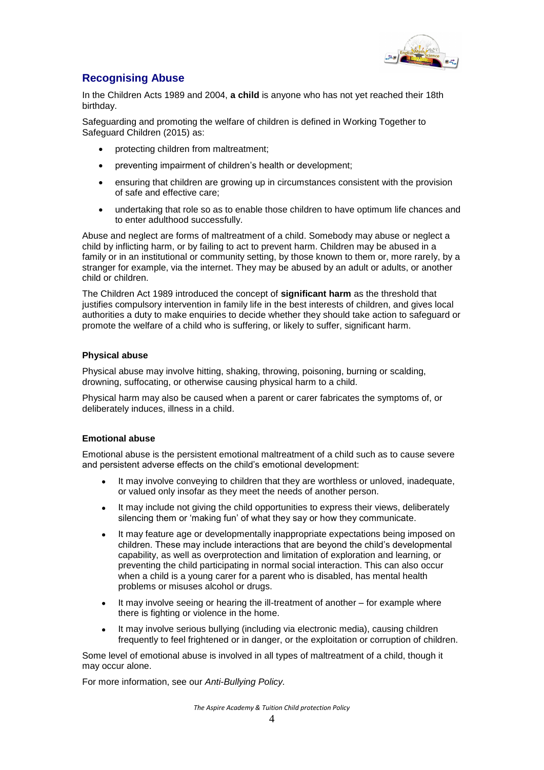

## **Recognising Abuse**

In the Children Acts 1989 and 2004, **a child** is anyone who has not yet reached their 18th birthday.

Safeguarding and promoting the welfare of children is defined in Working Together to Safeguard Children (2015) as:

- protecting children from maltreatment;
- preventing impairment of children's health or development;
- ensuring that children are growing up in circumstances consistent with the provision of safe and effective care;
- undertaking that role so as to enable those children to have optimum life chances and to enter adulthood successfully.

Abuse and neglect are forms of maltreatment of a child. Somebody may abuse or neglect a child by inflicting harm, or by failing to act to prevent harm. Children may be abused in a family or in an institutional or community setting, by those known to them or, more rarely, by a stranger for example, via the internet. They may be abused by an adult or adults, or another child or children.

The Children Act 1989 introduced the concept of **significant harm** as the threshold that justifies compulsory intervention in family life in the best interests of children, and gives local authorities a duty to make enquiries to decide whether they should take action to safeguard or promote the welfare of a child who is suffering, or likely to suffer, significant harm.

## **Physical abuse**

Physical abuse may involve hitting, shaking, throwing, poisoning, burning or scalding, drowning, suffocating, or otherwise causing physical harm to a child.

Physical harm may also be caused when a parent or carer fabricates the symptoms of, or deliberately induces, illness in a child.

## **Emotional abuse**

Emotional abuse is the persistent emotional maltreatment of a child such as to cause severe and persistent adverse effects on the child's emotional development:

- It may involve conveying to children that they are worthless or unloved, inadequate, or valued only insofar as they meet the needs of another person.
- It may include not giving the child opportunities to express their views, deliberately silencing them or 'making fun' of what they say or how they communicate.
- It may feature age or developmentally inappropriate expectations being imposed on children. These may include interactions that are beyond the child's developmental capability, as well as overprotection and limitation of exploration and learning, or preventing the child participating in normal social interaction. This can also occur when a child is a young carer for a parent who is disabled, has mental health problems or misuses alcohol or drugs.
- It may involve seeing or hearing the ill-treatment of another for example where there is fighting or violence in the home.
- It may involve serious bullying (including via electronic media), causing children frequently to feel frightened or in danger, or the exploitation or corruption of children.

Some level of emotional abuse is involved in all types of maltreatment of a child, though it may occur alone.

For more information, see our *Anti-Bullying Policy.*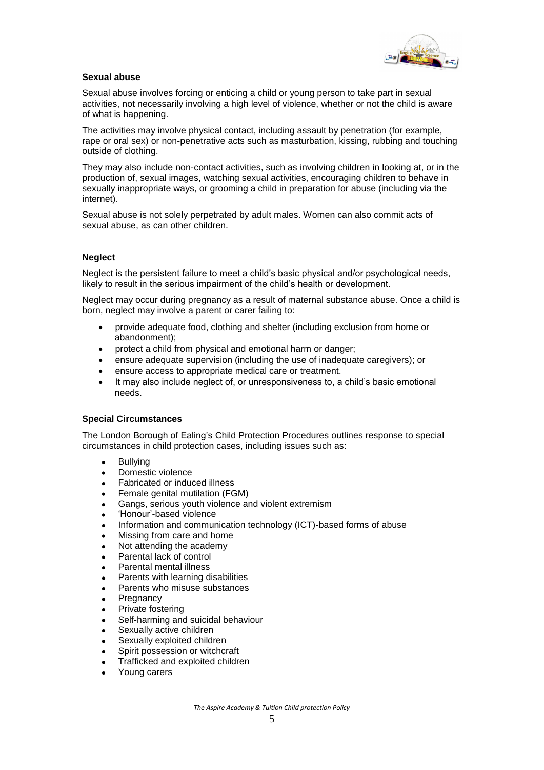

## **Sexual abuse**

Sexual abuse involves forcing or enticing a child or young person to take part in sexual activities, not necessarily involving a high level of violence, whether or not the child is aware of what is happening.

The activities may involve physical contact, including assault by penetration (for example, rape or oral sex) or non-penetrative acts such as masturbation, kissing, rubbing and touching outside of clothing.

They may also include non-contact activities, such as involving children in looking at, or in the production of, sexual images, watching sexual activities, encouraging children to behave in sexually inappropriate ways, or grooming a child in preparation for abuse (including via the internet).

Sexual abuse is not solely perpetrated by adult males. Women can also commit acts of sexual abuse, as can other children.

## **Neglect**

Neglect is the persistent failure to meet a child's basic physical and/or psychological needs, likely to result in the serious impairment of the child's health or development.

Neglect may occur during pregnancy as a result of maternal substance abuse. Once a child is born, neglect may involve a parent or carer failing to:

- provide adequate food, clothing and shelter (including exclusion from home or abandonment);
- protect a child from physical and emotional harm or danger;
- ensure adequate supervision (including the use of inadequate caregivers); or
- ensure access to appropriate medical care or treatment.
- It may also include neglect of, or unresponsiveness to, a child's basic emotional needs.

## **Special Circumstances**

The London Borough of Ealing's Child Protection Procedures outlines response to special circumstances in child protection cases, including issues such as:

- **Bullving**
- Domestic violence
- Fabricated or induced illness
- Female genital mutilation (FGM)
- Gangs, serious youth violence and violent extremism
- 'Honour'-based violence
- Information and communication technology (ICT)-based forms of abuse
- Missing from care and home
- Not attending the academy
- Parental lack of control
- Parental mental illness
- Parents with learning disabilities
- Parents who misuse substances
- **Pregnancy**
- Private fostering
- Self-harming and suicidal behaviour
- Sexually active children
- Sexually exploited children
- Spirit possession or witchcraft
- Trafficked and exploited children
- Young carers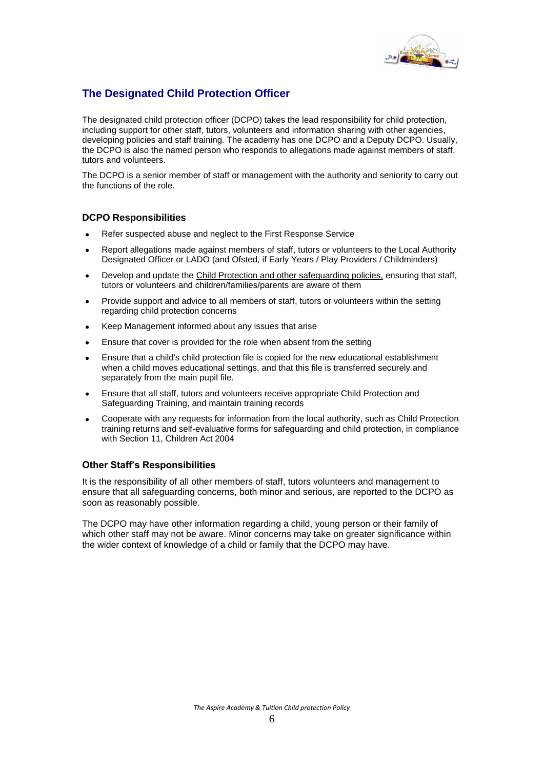

# **The Designated Child Protection Officer**

The designated child protection officer (DCPO) takes the lead responsibility for child protection, including support for other staff, tutors, volunteers and information sharing with other agencies, developing policies and staff training. The academy has one DCPO and a Deputy DCPO. Usually, the DCPO is also the named person who responds to [allegations](http://www.haringeylscb.org/index/lawpolicyguidance/allegations.htm) made against members of staff, tutors and volunteers.

The DCPO is a senior member of staff or management with the authority and seniority to carry out the functions of the role.

## **DCPO Responsibilities**

- Refer suspected abuse and neglect to the First Response Service
- Report [allegations](http://www.haringeylscb.org/index/lawpolicyguidance/allegations.htm) made against members of staff, tutors or volunteers to the Local Authority Designated Officer or LADO (and Ofsted, if Early Years / Play Providers / Childminders)
- Develop and update the [Child Protection and other safeguarding policies,](http://www.haringeylscb.org/index/lawpolicyguidance/policy_templates.htm) ensuring that staff, tutors or volunteers and children/families/parents are aware of them
- Provide support and advice to all members of staff, tutors or volunteers within the setting regarding child protection concerns
- Keep Management informed about any issues that arise
- Ensure that cover is provided for the role when absent from the setting
- Ensure that a child's child protection file is copied for the new educational establishment when a child moves educational settings, and that this file is transferred securely and separately from the main pupil file.
- Ensure that all staff, tutors and volunteers receive appropriate [Child Protection and](http://www.haringeylscb.org/index/schools_ey.htm#training)  [Safeguarding Training,](http://www.haringeylscb.org/index/schools_ey.htm#training) and maintain training records
- Cooperate with any requests for information from the local authority, such as Child Protection training returns and self-evaluative forms for safeguarding and child protection, in compliance with Section 11, Children Act 2004

## **Other Staff's Responsibilities**

It is the responsibility of all other members of staff, tutors volunteers and management to ensure that all safeguarding concerns, both minor and serious, are reported to the DCPO as soon as reasonably possible.

The DCPO may have other information regarding a child, young person or their family of which other staff may not be aware. Minor concerns may take on greater significance within the wider context of knowledge of a child or family that the DCPO may have.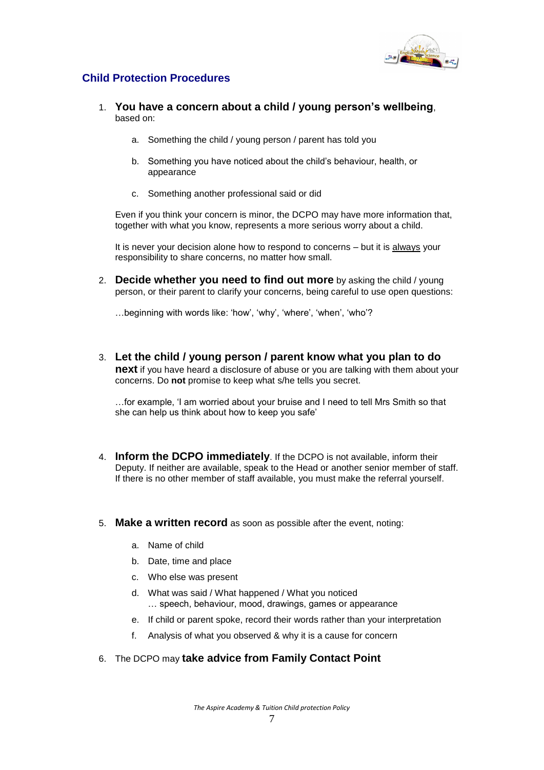

## **Child Protection Procedures**

- 1. **You have a concern about a child / young person's wellbeing**, based on:
	- a. Something the child / young person / parent has told you
	- b. Something you have noticed about the child's behaviour, health, or appearance
	- c. Something another professional said or did

Even if you think your concern is minor, the DCPO may have more information that, together with what you know, represents a more serious worry about a child.

It is never your decision alone how to respond to concerns – but it is always your responsibility to share concerns, no matter how small.

2. **Decide whether you need to find out more** by asking the child / young person, or their parent to clarify your concerns, being careful to use open questions:

…beginning with words like: 'how', 'why', 'where', 'when', 'who'?

3. **Let the child / young person / parent know what you plan to do next** if you have heard a disclosure of abuse or you are talking with them about your concerns. Do **not** promise to keep what s/he tells you secret.

…for example, 'I am worried about your bruise and I need to tell Mrs Smith so that she can help us think about how to keep you safe'

- 4. **Inform the DCPO immediately**. If the DCPO is not available, inform their Deputy. If neither are available, speak to the Head or another senior member of staff. If there is no other member of staff available, you must make the referral yourself.
- 5. **Make a written record** as soon as possible after the event, noting:
	- a. Name of child
	- b. Date, time and place
	- c. Who else was present
	- d. What was said / What happened / What you noticed … speech, behaviour, mood, drawings, games or appearance
	- e. If child or parent spoke, record their words rather than your interpretation
	- f. Analysis of what you observed & why it is a cause for concern
- 6. The DCPO may **take advice from Family Contact Point**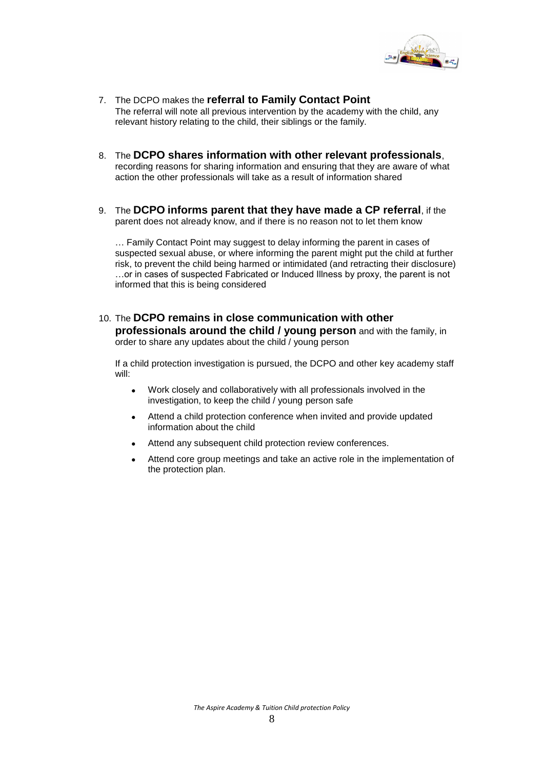

- 7. The DCPO makes the **referral to Family Contact Point** The referral will note all previous intervention by the academy with the child, any relevant history relating to the child, their siblings or the family.
- 8. The **DCPO shares information with other relevant professionals**, recording reasons for sharing information and ensuring that they are aware of what action the other professionals will take as a result of information shared
- 9. The **DCPO informs parent that they have made a CP referral**, if the parent does not already know, and if there is no reason not to let them know

… Family Contact Point may suggest to delay informing the parent in cases of suspected sexual abuse, or where informing the parent might put the child at further risk, to prevent the child being harmed or intimidated (and retracting their disclosure) …or in cases of suspected Fabricated or Induced Illness by proxy, the parent is not informed that this is being considered

10. The **DCPO remains in close communication with other professionals around the child / young person** and with the family, in order to share any updates about the child / young person

If a child protection investigation is pursued, the DCPO and other key academy staff will:

- Work closely and collaboratively with all professionals involved in the investigation, to keep the child / young person safe
- Attend a child protection conference when invited and provide updated information about the child
- Attend any subsequent child protection review conferences.
- Attend core group meetings and take an active role in the implementation of the protection plan.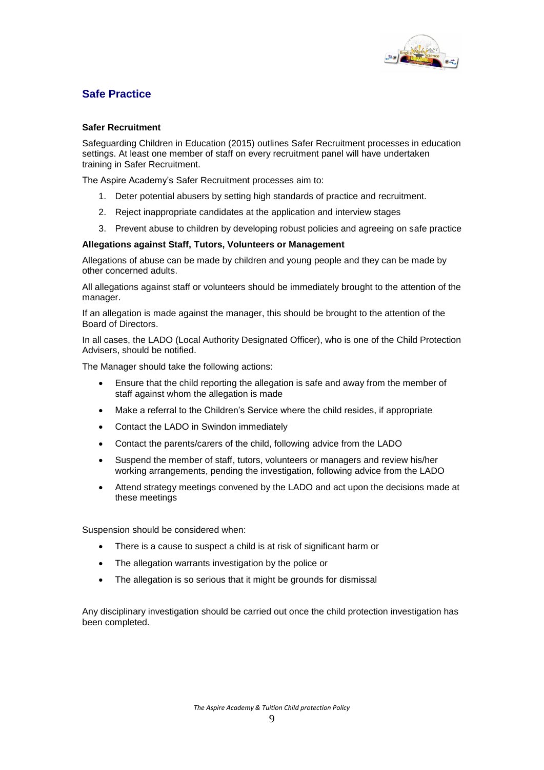

# **Safe Practice**

## **Safer Recruitment**

Safeguarding [Children in Education \(2015\)](http://publications.education.gov.uk/default.aspx?PageFunction=productdetails&PageMode=publications&ProductId=DFES-04217-2006&) outlines Safer Recruitment processes in education settings. At least one member of staff on every recruitment panel will have undertaken training in [Safer Recruitment.](http://www.cwdcouncil.org.uk/safeguarding/safer-recruitment)

The Aspire Academy's Safer Recruitment processes aim to:

- 1. Deter potential abusers by setting high standards of practice and recruitment.
- 2. Reject inappropriate candidates at the application and interview stages
- 3. Prevent abuse to children by developing robust policies and agreeing on safe practice

## **Allegations against Staff, Tutors, Volunteers or Management**

Allegations of abuse can be made by children and young people and they can be made by other concerned adults.

All allegations against staff or volunteers should be immediately brought to the attention of the manager.

If an allegation is made against the manager, this should be brought to the attention of the Board of Directors.

In all cases, the LADO (Local Authority Designated Officer), who is one of the Child Protection Advisers, should be notified.

The Manager should take the following actions:

- Ensure that the child reporting the allegation is safe and away from the member of staff against whom the allegation is made
- Make a referral to the Children's Service where the child resides, if appropriate
- Contact the LADO in Swindon immediately
- Contact the parents/carers of the child, following advice from the LADO
- Suspend the member of staff, tutors, volunteers or managers and review his/her working arrangements, pending the investigation, following advice from the LADO
- Attend strategy meetings convened by the LADO and act upon the decisions made at these meetings

Suspension should be considered when:

- There is a cause to suspect a child is at risk of significant harm or
- The allegation warrants investigation by the police or
- The allegation is so serious that it might be grounds for dismissal

Any disciplinary investigation should be carried out once the child protection investigation has been completed.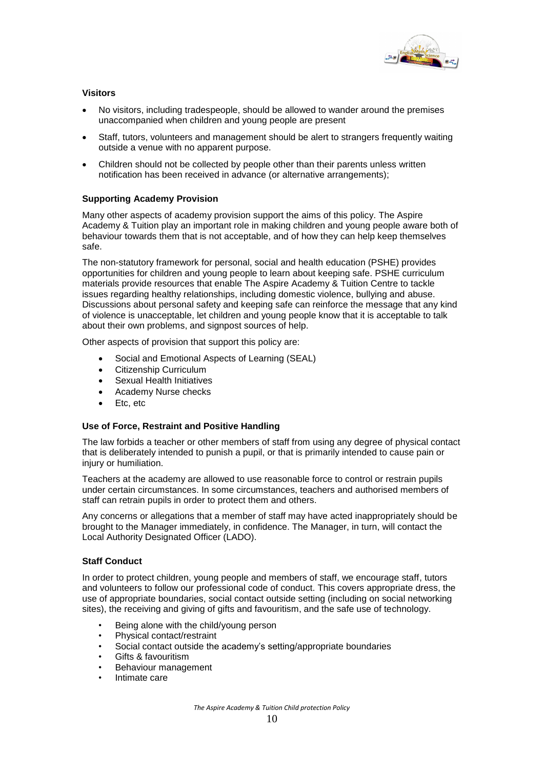

## **Visitors**

- No visitors, including tradespeople, should be allowed to wander around the premises unaccompanied when children and young people are present
- Staff, tutors, volunteers and management should be alert to strangers frequently waiting outside a venue with no apparent purpose.
- Children should not be collected by people other than their parents unless written notification has been received in advance (or alternative arrangements);

## **Supporting Academy Provision**

Many other aspects of academy provision support the aims of this policy. The Aspire Academy & Tuition play an important role in making children and young people aware both of behaviour towards them that is not acceptable, and of how they can help keep themselves safe.

The non-statutory framework for personal, social and health education (PSHE) provides opportunities for children and young people to learn about keeping safe. PSHE curriculum materials provide resources that enable The Aspire Academy & Tuition Centre to tackle issues regarding healthy relationships, including domestic violence, bullying and abuse. Discussions about personal safety and keeping safe can reinforce the message that any kind of violence is unacceptable, let children and young people know that it is acceptable to talk about their own problems, and signpost sources of help.

Other aspects of provision that support this policy are:

- Social and Emotional Aspects of Learning (SEAL)
- Citizenship Curriculum
- Sexual Health Initiatives
- Academy Nurse checks
- Etc, etc

## **Use of Force, Restraint and Positive Handling**

The law forbids a teacher or other members of staff from using any degree of physical contact that is deliberately intended to punish a pupil, or that is primarily intended to cause pain or injury or humiliation.

Teachers at the academy are allowed to use reasonable force to control or restrain pupils under certain circumstances. In some circumstances, teachers and authorised members of staff can retrain pupils in order to protect them and others.

Any concerns or allegations that a member of staff may have acted inappropriately should be brought to the Manager immediately, in confidence. The Manager, in turn, will contact the Local Authority Designated Officer (LADO).

## **Staff Conduct**

In order to protect children, young people and members of staff, we encourage staff, tutors and volunteers to follow our professional code of conduct. This covers appropriate dress, the use of appropriate boundaries, social contact outside setting (including on social networking sites), the receiving and giving of gifts and favouritism, and the safe use of technology.

- Being alone with the child/young person
- Physical contact/restraint
- Social contact outside the academy's setting/appropriate boundaries
- Gifts & favouritism
- Behaviour management
- Intimate care